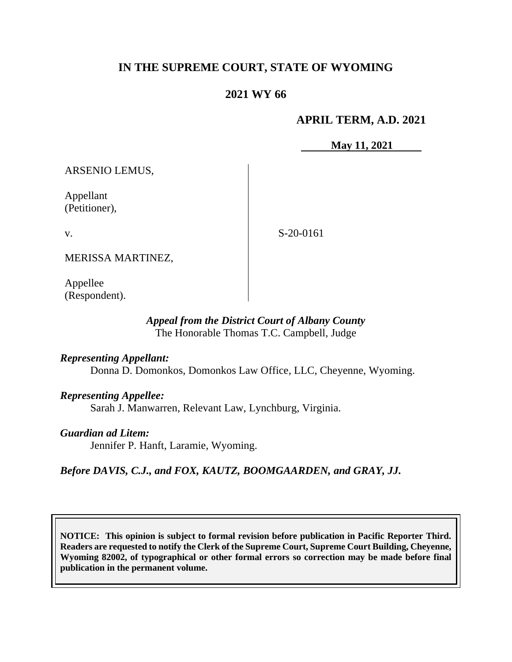# **IN THE SUPREME COURT, STATE OF WYOMING**

## **2021 WY 66**

## **APRIL TERM, A.D. 2021**

**May 11, 2021**

ARSENIO LEMUS,

Appellant (Petitioner),

v.

S-20-0161

MERISSA MARTINEZ,

Appellee (Respondent).

## *Appeal from the District Court of Albany County* The Honorable Thomas T.C. Campbell, Judge

### *Representing Appellant:*

Donna D. Domonkos, Domonkos Law Office, LLC, Cheyenne, Wyoming.

### *Representing Appellee:*

Sarah J. Manwarren, Relevant Law, Lynchburg, Virginia.

### *Guardian ad Litem:*

Jennifer P. Hanft, Laramie, Wyoming.

*Before DAVIS, C.J., and FOX, KAUTZ, BOOMGAARDEN, and GRAY, JJ.*

**NOTICE: This opinion is subject to formal revision before publication in Pacific Reporter Third. Readers are requested to notify the Clerk of the Supreme Court, Supreme Court Building, Cheyenne, Wyoming 82002, of typographical or other formal errors so correction may be made before final publication in the permanent volume.**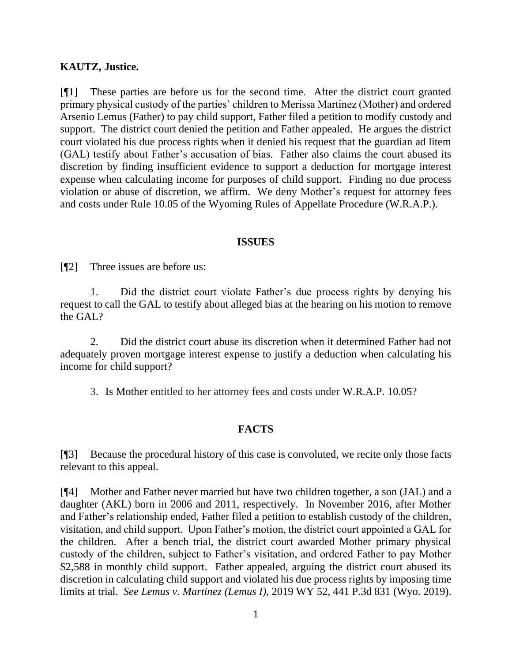### **KAUTZ, Justice.**

[¶1] These parties are before us for the second time. After the district court granted primary physical custody of the parties' children to Merissa Martinez (Mother) and ordered Arsenio Lemus (Father) to pay child support, Father filed a petition to modify custody and support. The district court denied the petition and Father appealed. He argues the district court violated his due process rights when it denied his request that the guardian ad litem (GAL) testify about Father's accusation of bias. Father also claims the court abused its discretion by finding insufficient evidence to support a deduction for mortgage interest expense when calculating income for purposes of child support. Finding no due process violation or abuse of discretion, we affirm. We deny Mother's request for attorney fees and costs under Rule 10.05 of the Wyoming Rules of Appellate Procedure (W.R.A.P.).

#### **ISSUES**

[¶2] Three issues are before us:

1. Did the district court violate Father's due process rights by denying his request to call the GAL to testify about alleged bias at the hearing on his motion to remove the GAL?

2. Did the district court abuse its discretion when it determined Father had not adequately proven mortgage interest expense to justify a deduction when calculating his income for child support?

3. Is Mother entitled to her attorney fees and costs under W.R.A.P. 10.05?

# **FACTS**

[¶3] Because the procedural history of this case is convoluted, we recite only those facts relevant to this appeal.

[¶4] Mother and Father never married but have two children together, a son (JAL) and a daughter (AKL) born in 2006 and 2011, respectively. In November 2016, after Mother and Father's relationship ended, Father filed a petition to establish custody of the children, visitation, and child support. Upon Father's motion, the district court appointed a GAL for the children. After a bench trial, the district court awarded Mother primary physical custody of the children, subject to Father's visitation, and ordered Father to pay Mother \$2,588 in monthly child support. Father appealed, arguing the district court abused its discretion in calculating child support and violated his due process rights by imposing time limits at trial. *See Lemus v. Martinez (Lemus I)*, 2019 WY 52, 441 P.3d 831 (Wyo. 2019).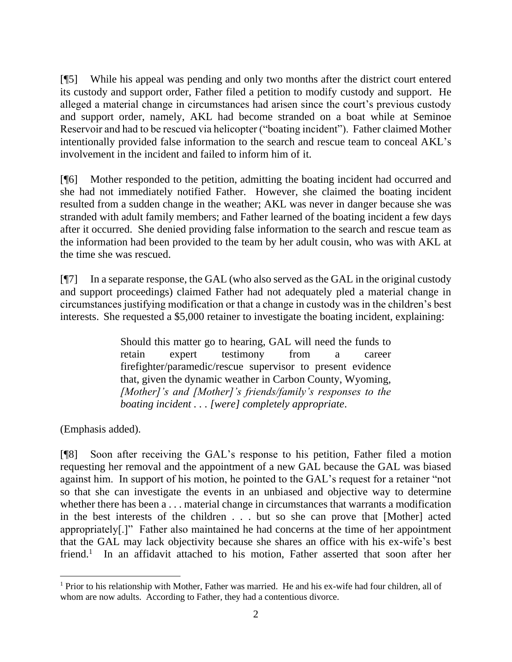[¶5] While his appeal was pending and only two months after the district court entered its custody and support order, Father filed a petition to modify custody and support. He alleged a material change in circumstances had arisen since the court's previous custody and support order, namely, AKL had become stranded on a boat while at Seminoe Reservoir and had to be rescued via helicopter ("boating incident"). Father claimed Mother intentionally provided false information to the search and rescue team to conceal AKL's involvement in the incident and failed to inform him of it.

[¶6] Mother responded to the petition, admitting the boating incident had occurred and she had not immediately notified Father. However, she claimed the boating incident resulted from a sudden change in the weather; AKL was never in danger because she was stranded with adult family members; and Father learned of the boating incident a few days after it occurred. She denied providing false information to the search and rescue team as the information had been provided to the team by her adult cousin, who was with AKL at the time she was rescued.

[¶7] In a separate response, the GAL (who also served as the GAL in the original custody and support proceedings) claimed Father had not adequately pled a material change in circumstances justifying modification or that a change in custody was in the children's best interests. She requested a \$5,000 retainer to investigate the boating incident, explaining:

> Should this matter go to hearing, GAL will need the funds to retain expert testimony from a career firefighter/paramedic/rescue supervisor to present evidence that, given the dynamic weather in Carbon County, Wyoming, *[Mother]'s and [Mother]'s friends/family's responses to the boating incident . . . [were] completely appropriate*.

(Emphasis added).

[¶8] Soon after receiving the GAL's response to his petition, Father filed a motion requesting her removal and the appointment of a new GAL because the GAL was biased against him. In support of his motion, he pointed to the GAL's request for a retainer "not so that she can investigate the events in an unbiased and objective way to determine whether there has been a . . . material change in circumstances that warrants a modification in the best interests of the children . . . but so she can prove that [Mother] acted appropriately[.]" Father also maintained he had concerns at the time of her appointment that the GAL may lack objectivity because she shares an office with his ex-wife's best friend.<sup>1</sup> In an affidavit attached to his motion, Father asserted that soon after her

 $<sup>1</sup>$  Prior to his relationship with Mother, Father was married. He and his ex-wife had four children, all of</sup> whom are now adults. According to Father, they had a contentious divorce.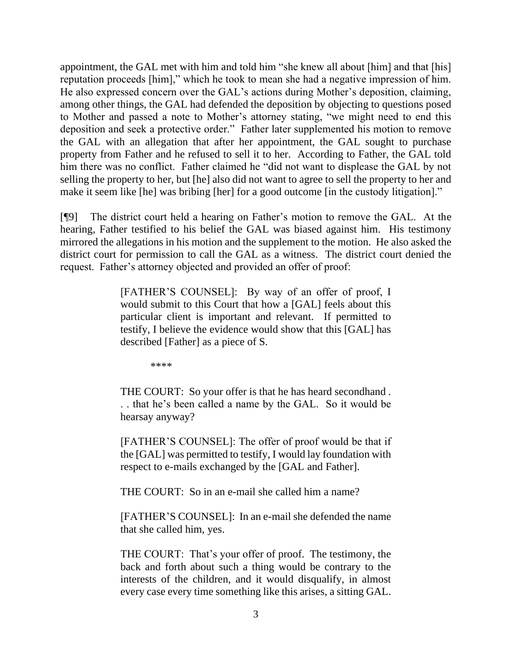appointment, the GAL met with him and told him "she knew all about [him] and that [his] reputation proceeds [him]," which he took to mean she had a negative impression of him. He also expressed concern over the GAL's actions during Mother's deposition, claiming, among other things, the GAL had defended the deposition by objecting to questions posed to Mother and passed a note to Mother's attorney stating, "we might need to end this deposition and seek a protective order." Father later supplemented his motion to remove the GAL with an allegation that after her appointment, the GAL sought to purchase property from Father and he refused to sell it to her. According to Father, the GAL told him there was no conflict. Father claimed he "did not want to displease the GAL by not selling the property to her, but [he] also did not want to agree to sell the property to her and make it seem like [he] was bribing [her] for a good outcome [in the custody litigation]."

[¶9] The district court held a hearing on Father's motion to remove the GAL. At the hearing, Father testified to his belief the GAL was biased against him. His testimony mirrored the allegations in his motion and the supplement to the motion. He also asked the district court for permission to call the GAL as a witness. The district court denied the request. Father's attorney objected and provided an offer of proof:

> [FATHER'S COUNSEL]: By way of an offer of proof, I would submit to this Court that how a [GAL] feels about this particular client is important and relevant. If permitted to testify, I believe the evidence would show that this [GAL] has described [Father] as a piece of S.

> > \*\*\*\*

THE COURT: So your offer is that he has heard secondhand . . . that he's been called a name by the GAL. So it would be hearsay anyway?

[FATHER'S COUNSEL]: The offer of proof would be that if the [GAL] was permitted to testify, I would lay foundation with respect to e-mails exchanged by the [GAL and Father].

THE COURT: So in an e-mail she called him a name?

[FATHER'S COUNSEL]: In an e-mail she defended the name that she called him, yes.

THE COURT: That's your offer of proof. The testimony, the back and forth about such a thing would be contrary to the interests of the children, and it would disqualify, in almost every case every time something like this arises, a sitting GAL.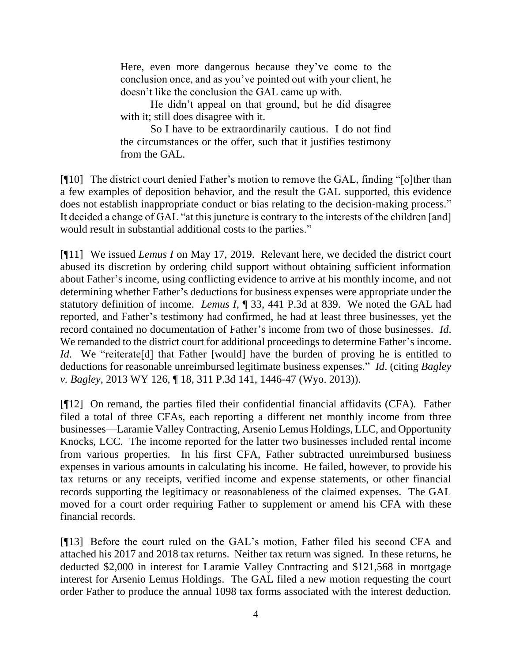Here, even more dangerous because they've come to the conclusion once, and as you've pointed out with your client, he doesn't like the conclusion the GAL came up with.

He didn't appeal on that ground, but he did disagree with it; still does disagree with it.

So I have to be extraordinarily cautious. I do not find the circumstances or the offer, such that it justifies testimony from the GAL.

[¶10] The district court denied Father's motion to remove the GAL, finding "[o]ther than a few examples of deposition behavior, and the result the GAL supported, this evidence does not establish inappropriate conduct or bias relating to the decision-making process." It decided a change of GAL "at this juncture is contrary to the interests of the children [and] would result in substantial additional costs to the parties."

[¶11] We issued *Lemus I* on May 17, 2019. Relevant here, we decided the district court abused its discretion by ordering child support without obtaining sufficient information about Father's income, using conflicting evidence to arrive at his monthly income, and not determining whether Father's deductions for business expenses were appropriate under the statutory definition of income. *Lemus I*, ¶ 33, 441 P.3d at 839. We noted the GAL had reported, and Father's testimony had confirmed, he had at least three businesses, yet the record contained no documentation of Father's income from two of those businesses. *Id*. We remanded to the district court for additional proceedings to determine Father's income. *Id.* We "reiterate [d] that Father [would] have the burden of proving he is entitled to deductions for reasonable unreimbursed legitimate business expenses." *Id*. (citing *Bagley v. Bagley*, 2013 WY 126, ¶ 18, 311 P.3d 141, 1446-47 (Wyo. 2013)).

[¶12] On remand, the parties filed their confidential financial affidavits (CFA). Father filed a total of three CFAs, each reporting a different net monthly income from three businesses—Laramie Valley Contracting, Arsenio Lemus Holdings, LLC, and Opportunity Knocks, LCC. The income reported for the latter two businesses included rental income from various properties. In his first CFA, Father subtracted unreimbursed business expenses in various amounts in calculating his income. He failed, however, to provide his tax returns or any receipts, verified income and expense statements, or other financial records supporting the legitimacy or reasonableness of the claimed expenses. The GAL moved for a court order requiring Father to supplement or amend his CFA with these financial records.

[¶13] Before the court ruled on the GAL's motion, Father filed his second CFA and attached his 2017 and 2018 tax returns. Neither tax return was signed. In these returns, he deducted \$2,000 in interest for Laramie Valley Contracting and \$121,568 in mortgage interest for Arsenio Lemus Holdings. The GAL filed a new motion requesting the court order Father to produce the annual 1098 tax forms associated with the interest deduction.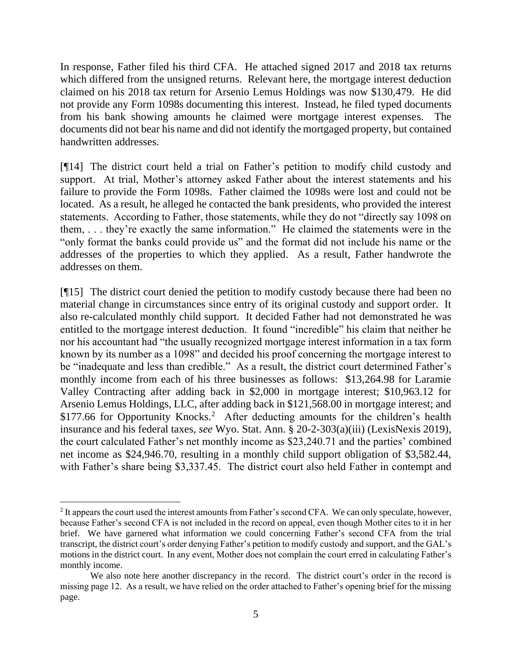In response, Father filed his third CFA. He attached signed 2017 and 2018 tax returns which differed from the unsigned returns. Relevant here, the mortgage interest deduction claimed on his 2018 tax return for Arsenio Lemus Holdings was now \$130,479. He did not provide any Form 1098s documenting this interest. Instead, he filed typed documents from his bank showing amounts he claimed were mortgage interest expenses. The documents did not bear his name and did not identify the mortgaged property, but contained handwritten addresses.

[¶14] The district court held a trial on Father's petition to modify child custody and support. At trial, Mother's attorney asked Father about the interest statements and his failure to provide the Form 1098s. Father claimed the 1098s were lost and could not be located. As a result, he alleged he contacted the bank presidents, who provided the interest statements. According to Father, those statements, while they do not "directly say 1098 on them, . . . they're exactly the same information." He claimed the statements were in the "only format the banks could provide us" and the format did not include his name or the addresses of the properties to which they applied. As a result, Father handwrote the addresses on them.

[¶15] The district court denied the petition to modify custody because there had been no material change in circumstances since entry of its original custody and support order. It also re-calculated monthly child support. It decided Father had not demonstrated he was entitled to the mortgage interest deduction. It found "incredible" his claim that neither he nor his accountant had "the usually recognized mortgage interest information in a tax form known by its number as a 1098" and decided his proof concerning the mortgage interest to be "inadequate and less than credible." As a result, the district court determined Father's monthly income from each of his three businesses as follows: \$13,264.98 for Laramie Valley Contracting after adding back in \$2,000 in mortgage interest; \$10,963.12 for Arsenio Lemus Holdings, LLC, after adding back in \$121,568.00 in mortgage interest; and \$177.66 for Opportunity Knocks.<sup>2</sup> After deducting amounts for the children's health insurance and his federal taxes, *see* Wyo. Stat. Ann. § 20-2-303(a)(iii) (LexisNexis 2019), the court calculated Father's net monthly income as \$23,240.71 and the parties' combined net income as \$24,946.70, resulting in a monthly child support obligation of \$3,582.44, with Father's share being \$3,337.45. The district court also held Father in contempt and

 $2$  It appears the court used the interest amounts from Father's second CFA. We can only speculate, however, because Father's second CFA is not included in the record on appeal, even though Mother cites to it in her brief. We have garnered what information we could concerning Father's second CFA from the trial transcript, the district court's order denying Father's petition to modify custody and support, and the GAL's motions in the district court. In any event, Mother does not complain the court erred in calculating Father's monthly income.

We also note here another discrepancy in the record. The district court's order in the record is missing page 12. As a result, we have relied on the order attached to Father's opening brief for the missing page.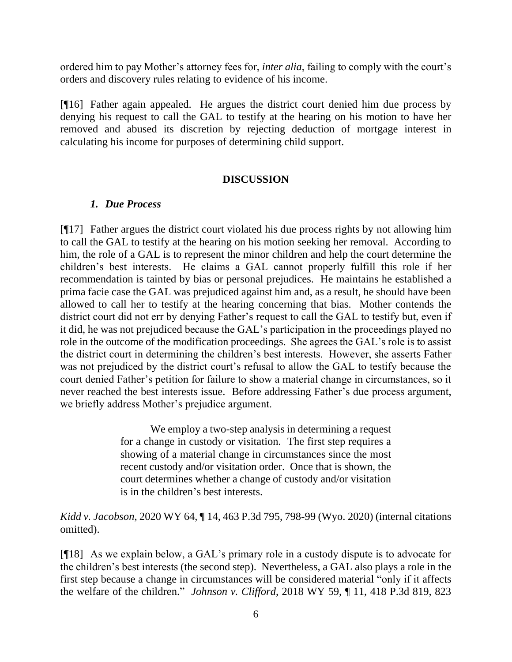ordered him to pay Mother's attorney fees for, *inter alia*, failing to comply with the court's orders and discovery rules relating to evidence of his income.

[¶16] Father again appealed. He argues the district court denied him due process by denying his request to call the GAL to testify at the hearing on his motion to have her removed and abused its discretion by rejecting deduction of mortgage interest in calculating his income for purposes of determining child support.

### **DISCUSSION**

## *1. Due Process*

[¶17] Father argues the district court violated his due process rights by not allowing him to call the GAL to testify at the hearing on his motion seeking her removal. According to him, the role of a GAL is to represent the minor children and help the court determine the children's best interests. He claims a GAL cannot properly fulfill this role if her recommendation is tainted by bias or personal prejudices. He maintains he established a prima facie case the GAL was prejudiced against him and, as a result, he should have been allowed to call her to testify at the hearing concerning that bias. Mother contends the district court did not err by denying Father's request to call the GAL to testify but, even if it did, he was not prejudiced because the GAL's participation in the proceedings played no role in the outcome of the modification proceedings. She agrees the GAL's role is to assist the district court in determining the children's best interests. However, she asserts Father was not prejudiced by the district court's refusal to allow the GAL to testify because the court denied Father's petition for failure to show a material change in circumstances, so it never reached the best interests issue. Before addressing Father's due process argument, we briefly address Mother's prejudice argument.

> We employ a two-step analysis in determining a request for a change in custody or visitation*.* The first step requires a showing of a material change in circumstances since the most recent custody and/or visitation order. Once that is shown, the court determines whether a change of custody and/or visitation is in the children's best interests.

*Kidd v. Jacobson*, 2020 WY 64, ¶ 14, 463 P.3d 795, 798-99 (Wyo. 2020) (internal citations omitted).

[¶18] As we explain below, a GAL's primary role in a custody dispute is to advocate for the children's best interests (the second step). Nevertheless, a GAL also plays a role in the first step because a change in circumstances will be considered material "only if it affects the welfare of the children." *Johnson v. Clifford*, 2018 WY 59, ¶ 11, 418 P.3d 819, 823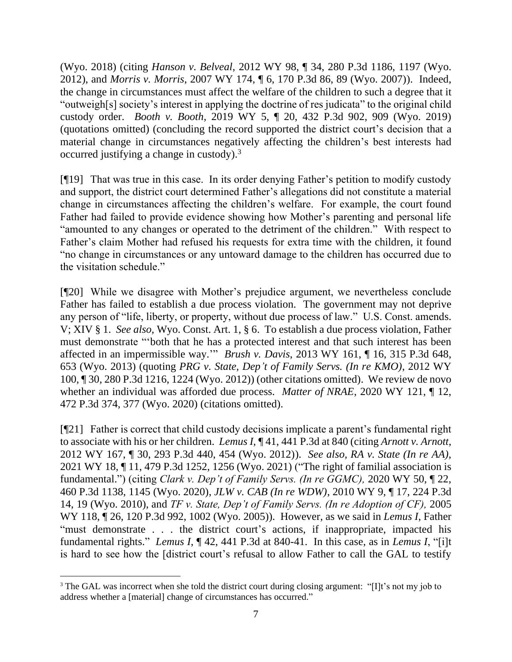(Wyo. 2018) (citing *Hanson v. Belveal*, 2012 WY 98, ¶ 34, 280 P.3d 1186, 1197 (Wyo. 2012), and *Morris v. Morris*, 2007 WY 174, ¶ 6, 170 P.3d 86, 89 (Wyo. 2007)). Indeed, the change in circumstances must affect the welfare of the children to such a degree that it "outweigh[s] society's interest in applying the doctrine of res judicata" to the original child custody order. *Booth v. Booth*, 2019 WY 5, ¶ 20, 432 P.3d 902, 909 (Wyo. 2019) (quotations omitted) (concluding the record supported the district court's decision that a material change in circumstances negatively affecting the children's best interests had occurred justifying a change in custody).<sup>3</sup>

[¶19] That was true in this case. In its order denying Father's petition to modify custody and support, the district court determined Father's allegations did not constitute a material change in circumstances affecting the children's welfare. For example, the court found Father had failed to provide evidence showing how Mother's parenting and personal life "amounted to any changes or operated to the detriment of the children." With respect to Father's claim Mother had refused his requests for extra time with the children, it found "no change in circumstances or any untoward damage to the children has occurred due to the visitation schedule."

[¶20] While we disagree with Mother's prejudice argument, we nevertheless conclude Father has failed to establish a due process violation. The government may not deprive any person of "life, liberty, or property, without due process of law." U.S. Const. amends. V; XIV § 1. *See also,* Wyo. Const. Art. 1, § 6. To establish a due process violation, Father must demonstrate "'both that he has a protected interest and that such interest has been affected in an impermissible way.'" *Brush v. Davis*, 2013 WY 161, ¶ 16, 315 P.3d 648, 653 (Wyo. 2013) (quoting *PRG v. State, Dep't of Family Servs. (In re KMO)*, 2012 WY 100, ¶ 30, 280 P.3d 1216, 1224 (Wyo. 2012)) (other citations omitted). We review de novo whether an individual was afforded due process. *Matter of NRAE*, 2020 WY 121, ¶ 12, 472 P.3d 374, 377 (Wyo. 2020) (citations omitted).

[¶21] Father is correct that child custody decisions implicate a parent's fundamental right to associate with his or her children. *Lemus I*, ¶ 41, 441 P.3d at 840 (citing *Arnott v. Arnott*, 2012 WY 167, ¶ 30, 293 P.3d 440, 454 (Wyo. 2012)). *See also, RA v. State (In re AA),*  2021 WY 18, ¶ 11, 479 P.3d 1252, 1256 (Wyo. 2021) ("The right of familial association is fundamental.") (citing *Clark v. Dep't of Family Servs. (In re GGMC),* 2020 WY 50, ¶ 22, 460 P.3d 1138, 1145 (Wyo. 2020), *JLW v. CAB (In re WDW)*, 2010 WY 9, ¶ 17, 224 P.3d 14, 19 (Wyo. 2010), and *TF v. State, Dep't of Family Servs. (In re Adoption of CF),* 2005 WY 118, ¶ 26, 120 P.3d 992, 1002 (Wyo. 2005)). However, as we said in *Lemus I*, Father "must demonstrate . . . the district court's actions, if inappropriate, impacted his fundamental rights." *Lemus I*, ¶ 42, 441 P.3d at 840-41. In this case, as in *Lemus I*, "[i]t is hard to see how the [district court's refusal to allow Father to call the GAL to testify

<sup>&</sup>lt;sup>3</sup> The GAL was incorrect when she told the district court during closing argument: "[I]t's not my job to address whether a [material] change of circumstances has occurred."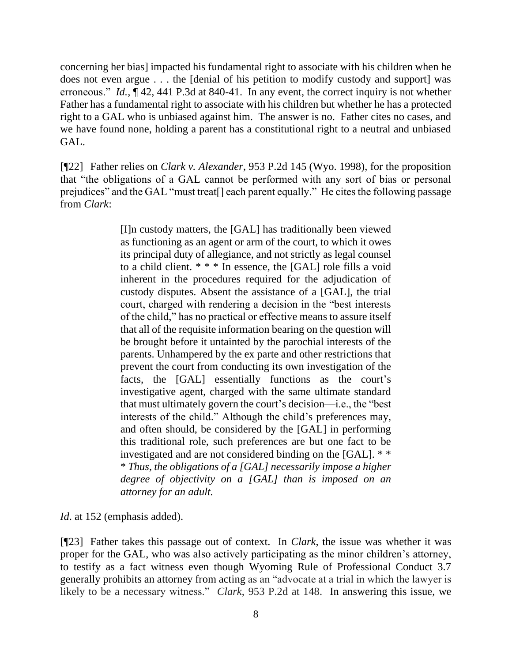concerning her bias] impacted his fundamental right to associate with his children when he does not even argue . . . the [denial of his petition to modify custody and support] was erroneous." *Id.*, ¶ 42, 441 P.3d at 840-41. In any event, the correct inquiry is not whether Father has a fundamental right to associate with his children but whether he has a protected right to a GAL who is unbiased against him. The answer is no. Father cites no cases, and we have found none, holding a parent has a constitutional right to a neutral and unbiased GAL.

[¶22] Father relies on *Clark v. Alexander*, 953 P.2d 145 (Wyo. 1998), for the proposition that "the obligations of a GAL cannot be performed with any sort of bias or personal prejudices" and the GAL "must treat[] each parent equally." He cites the following passage from *Clark*:

> [I]n custody matters, the [GAL] has traditionally been viewed as functioning as an agent or arm of the court, to which it owes its principal duty of allegiance, and not strictly as legal counsel to a child client. \* \* \* In essence, the [GAL] role fills a void inherent in the procedures required for the adjudication of custody disputes. Absent the assistance of a [GAL], the trial court, charged with rendering a decision in the "best interests of the child," has no practical or effective means to assure itself that all of the requisite information bearing on the question will be brought before it untainted by the parochial interests of the parents. Unhampered by the ex parte and other restrictions that prevent the court from conducting its own investigation of the facts, the [GAL] essentially functions as the court's investigative agent, charged with the same ultimate standard that must ultimately govern the court's decision—i.e., the "best interests of the child." Although the child's preferences may, and often should, be considered by the [GAL] in performing this traditional role, such preferences are but one fact to be investigated and are not considered binding on the [GAL]. \* \* \* *Thus, the obligations of a [GAL] necessarily impose a higher degree of objectivity on a [GAL] than is imposed on an attorney for an adult.*

*Id*. at 152 (emphasis added).

[¶23] Father takes this passage out of context. In *Clark*, the issue was whether it was proper for the GAL, who was also actively participating as the minor children's attorney, to testify as a fact witness even though Wyoming Rule of Professional Conduct 3.7 generally prohibits an attorney from acting as an "advocate at a trial in which the lawyer is likely to be a necessary witness." *Clark*, 953 P.2d at 148. In answering this issue, we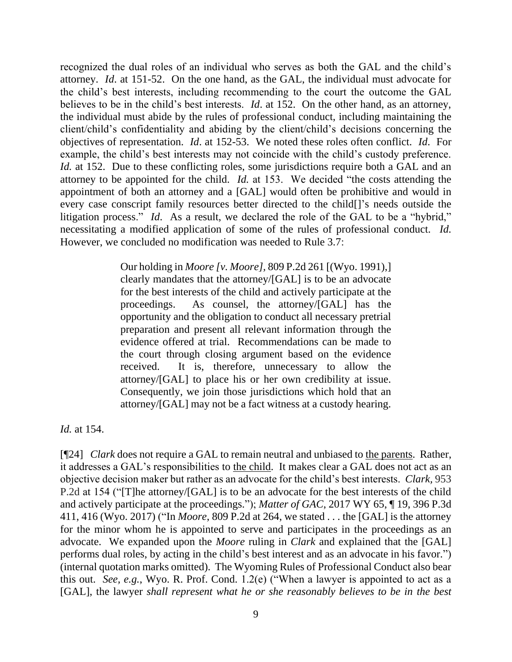recognized the dual roles of an individual who serves as both the GAL and the child's attorney. *Id*. at 151-52. On the one hand, as the GAL, the individual must advocate for the child's best interests, including recommending to the court the outcome the GAL believes to be in the child's best interests. *Id*. at 152. On the other hand, as an attorney, the individual must abide by the rules of professional conduct, including maintaining the client/child's confidentiality and abiding by the client/child's decisions concerning the objectives of representation. *Id*. at 152-53. We noted these roles often conflict. *Id*. For example, the child's best interests may not coincide with the child's custody preference. *Id.* at 152. Due to these conflicting roles, some jurisdictions require both a GAL and an attorney to be appointed for the child. *Id.* at 153. We decided "the costs attending the appointment of both an attorney and a [GAL] would often be prohibitive and would in every case conscript family resources better directed to the child[]'s needs outside the litigation process." *Id*. As a result, we declared the role of the GAL to be a "hybrid," necessitating a modified application of some of the rules of professional conduct. *Id.* However, we concluded no modification was needed to Rule 3.7:

> Our holding in *Moore [v. Moore],* 809 P.2d 261 [(Wyo. 1991),] clearly mandates that the attorney/[GAL] is to be an advocate for the best interests of the child and actively participate at the proceedings. As counsel, the attorney/[GAL] has the opportunity and the obligation to conduct all necessary pretrial preparation and present all relevant information through the evidence offered at trial. Recommendations can be made to the court through closing argument based on the evidence received. It is, therefore, unnecessary to allow the attorney/[GAL] to place his or her own credibility at issue. Consequently, we join those jurisdictions which hold that an attorney/[GAL] may not be a fact witness at a custody hearing.

*Id.* at 154.

[¶24] *Clark* does not require a GAL to remain neutral and unbiased to the parents. Rather, it addresses a GAL's responsibilities to the child. It makes clear a GAL does not act as an objective decision maker but rather as an advocate for the child's best interests. *Clark,* 953 P.2d at 154 ("[T]he attorney/[GAL] is to be an advocate for the best interests of the child and actively participate at the proceedings."); *Matter of GAC*, 2017 WY 65, ¶ 19, 396 P.3d 411, 416 (Wyo. 2017) ("In *Moore*, 809 P.2d at 264, we stated . . . the [GAL] is the attorney for the minor whom he is appointed to serve and participates in the proceedings as an advocate. We expanded upon the *Moore* ruling in *Clark* and explained that the [GAL] performs dual roles, by acting in the child's best interest and as an advocate in his favor.") (internal quotation marks omitted). The Wyoming Rules of Professional Conduct also bear this out. *See, e.g.*, Wyo. R. Prof. Cond. 1.2(e) ("When a lawyer is appointed to act as a [GAL], the lawyer *shall represent what he or she reasonably believes to be in the best*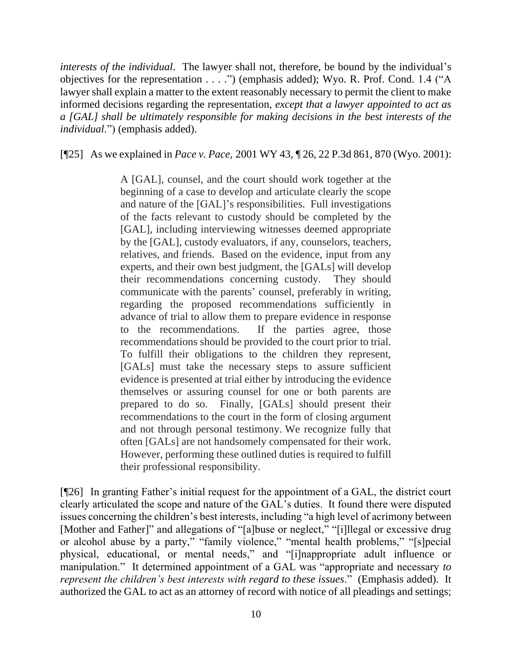*interests of the individual*. The lawyer shall not, therefore, be bound by the individual's objectives for the representation . . . .") (emphasis added); Wyo. R. Prof. Cond. 1.4 ("A lawyer shall explain a matter to the extent reasonably necessary to permit the client to make informed decisions regarding the representation, *except that a lawyer appointed to act as a [GAL] shall be ultimately responsible for making decisions in the best interests of the individual*.") (emphasis added).

[¶25] As we explained in *Pace v. Pace,* 2001 WY 43, ¶ 26, 22 P.3d 861, 870 (Wyo. 2001):

A [GAL], counsel, and the court should work together at the beginning of a case to develop and articulate clearly the scope and nature of the [GAL]'s responsibilities. Full investigations of the facts relevant to custody should be completed by the [GAL], including interviewing witnesses deemed appropriate by the [GAL], custody evaluators, if any, counselors, teachers, relatives, and friends. Based on the evidence, input from any experts, and their own best judgment, the [GALs] will develop their recommendations concerning custody. They should communicate with the parents' counsel, preferably in writing, regarding the proposed recommendations sufficiently in advance of trial to allow them to prepare evidence in response to the recommendations. If the parties agree, those recommendations should be provided to the court prior to trial. To fulfill their obligations to the children they represent, [GALs] must take the necessary steps to assure sufficient evidence is presented at trial either by introducing the evidence themselves or assuring counsel for one or both parents are prepared to do so. Finally, [GALs] should present their recommendations to the court in the form of closing argument and not through personal testimony. We recognize fully that often [GALs] are not handsomely compensated for their work. However, performing these outlined duties is required to fulfill their professional responsibility.

[¶26] In granting Father's initial request for the appointment of a GAL, the district court clearly articulated the scope and nature of the GAL's duties. It found there were disputed issues concerning the children's best interests, including "a high level of acrimony between [Mother and Father]" and allegations of "[a]buse or neglect," "[i]llegal or excessive drug or alcohol abuse by a party," "family violence," "mental health problems," "[s]pecial physical, educational, or mental needs," and "[i]nappropriate adult influence or manipulation." It determined appointment of a GAL was "appropriate and necessary *to represent the children's best interests with regard to these issues*." (Emphasis added). It authorized the GAL to act as an attorney of record with notice of all pleadings and settings;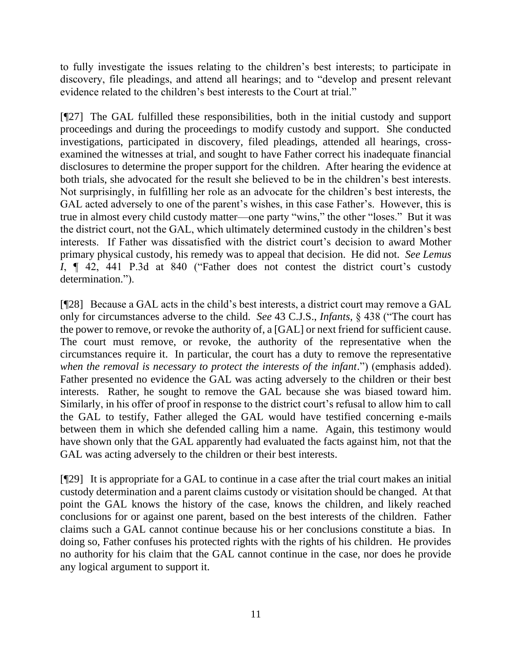to fully investigate the issues relating to the children's best interests; to participate in discovery, file pleadings, and attend all hearings; and to "develop and present relevant evidence related to the children's best interests to the Court at trial."

[¶27] The GAL fulfilled these responsibilities, both in the initial custody and support proceedings and during the proceedings to modify custody and support. She conducted investigations, participated in discovery, filed pleadings, attended all hearings, crossexamined the witnesses at trial, and sought to have Father correct his inadequate financial disclosures to determine the proper support for the children. After hearing the evidence at both trials, she advocated for the result she believed to be in the children's best interests. Not surprisingly, in fulfilling her role as an advocate for the children's best interests, the GAL acted adversely to one of the parent's wishes, in this case Father's. However, this is true in almost every child custody matter—one party "wins," the other "loses." But it was the district court, not the GAL, which ultimately determined custody in the children's best interests. If Father was dissatisfied with the district court's decision to award Mother primary physical custody, his remedy was to appeal that decision. He did not. *See Lemus I*, ¶ 42, 441 P.3d at 840 ("Father does not contest the district court's custody determination.").

[¶28] Because a GAL acts in the child's best interests, a district court may remove a GAL only for circumstances adverse to the child. *See* 43 C.J.S., *Infants*, § 438 ("The court has the power to remove, or revoke the authority of, a [GAL] or next friend for sufficient cause. The court must remove, or revoke, the authority of the representative when the circumstances require it. In particular, the court has a duty to remove the representative *when the removal is necessary to protect the interests of the infant*.") (emphasis added). Father presented no evidence the GAL was acting adversely to the children or their best interests. Rather, he sought to remove the GAL because she was biased toward him. Similarly, in his offer of proof in response to the district court's refusal to allow him to call the GAL to testify, Father alleged the GAL would have testified concerning e-mails between them in which she defended calling him a name. Again, this testimony would have shown only that the GAL apparently had evaluated the facts against him, not that the GAL was acting adversely to the children or their best interests.

[¶29] It is appropriate for a GAL to continue in a case after the trial court makes an initial custody determination and a parent claims custody or visitation should be changed. At that point the GAL knows the history of the case, knows the children, and likely reached conclusions for or against one parent, based on the best interests of the children. Father claims such a GAL cannot continue because his or her conclusions constitute a bias. In doing so, Father confuses his protected rights with the rights of his children. He provides no authority for his claim that the GAL cannot continue in the case, nor does he provide any logical argument to support it.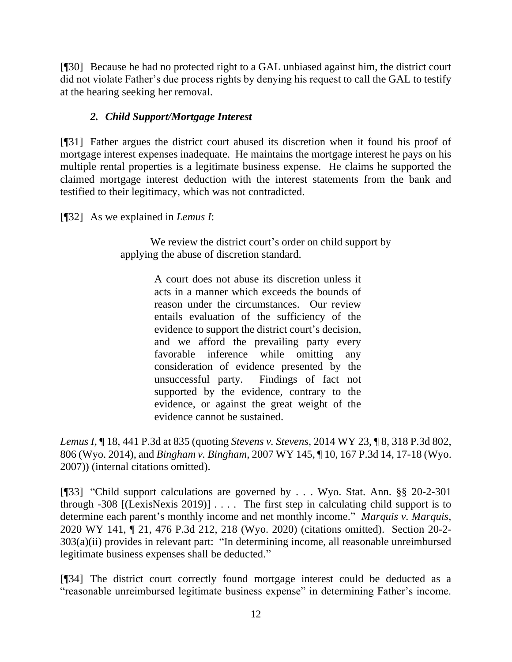[¶30] Because he had no protected right to a GAL unbiased against him, the district court did not violate Father's due process rights by denying his request to call the GAL to testify at the hearing seeking her removal.

# *2. Child Support/Mortgage Interest*

[¶31] Father argues the district court abused its discretion when it found his proof of mortgage interest expenses inadequate. He maintains the mortgage interest he pays on his multiple rental properties is a legitimate business expense. He claims he supported the claimed mortgage interest deduction with the interest statements from the bank and testified to their legitimacy, which was not contradicted.

[¶32] As we explained in *Lemus I*:

We review the district court's order on child support by applying the abuse of discretion standard.

> A court does not abuse its discretion unless it acts in a manner which exceeds the bounds of reason under the circumstances. Our review entails evaluation of the sufficiency of the evidence to support the district court's decision, and we afford the prevailing party every favorable inference while omitting any consideration of evidence presented by the unsuccessful party. Findings of fact not supported by the evidence, contrary to the evidence, or against the great weight of the evidence cannot be sustained.

*Lemus I*, ¶ 18, 441 P.3d at 835 (quoting *Stevens v. Stevens*, 2014 WY 23, ¶ 8, 318 P.3d 802, 806 (Wyo. 2014), and *Bingham v. Bingham*, 2007 WY 145, ¶ 10, 167 P.3d 14, 17-18 (Wyo. 2007)) (internal citations omitted).

[¶33] "Child support calculations are governed by . . . Wyo. Stat. Ann. §§ 20-2-301 through  $-308$  [(LexisNexis 2019)]  $\ldots$ . The first step in calculating child support is to determine each parent's monthly income and net monthly income." *Marquis v. Marquis*, 2020 WY 141, ¶ 21, 476 P.3d 212, 218 (Wyo. 2020) (citations omitted). Section 20-2- 303(a)(ii) provides in relevant part: "In determining income, all reasonable unreimbursed legitimate business expenses shall be deducted."

[¶34] The district court correctly found mortgage interest could be deducted as a "reasonable unreimbursed legitimate business expense" in determining Father's income.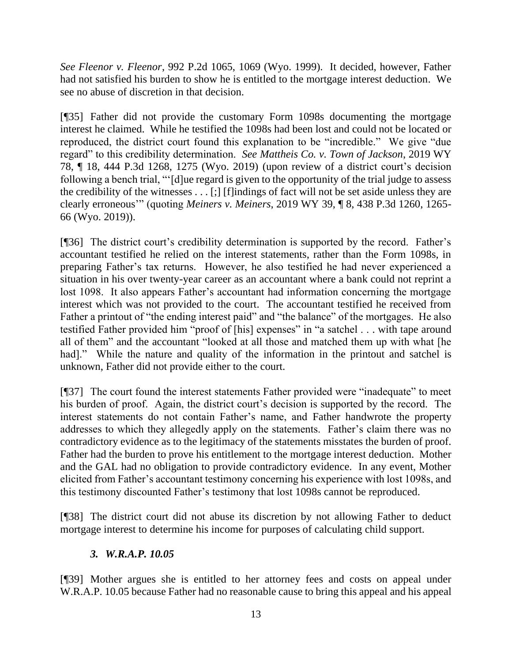*See Fleenor v. Fleenor*, 992 P.2d 1065, 1069 (Wyo. 1999). It decided, however, Father had not satisfied his burden to show he is entitled to the mortgage interest deduction. We see no abuse of discretion in that decision.

[¶35] Father did not provide the customary Form 1098s documenting the mortgage interest he claimed. While he testified the 1098s had been lost and could not be located or reproduced, the district court found this explanation to be "incredible." We give "due regard" to this credibility determination. *See Mattheis Co. v. Town of Jackson*, 2019 WY 78, ¶ 18, 444 P.3d 1268, 1275 (Wyo. 2019) (upon review of a district court's decision following a bench trial, "'[d]ue regard is given to the opportunity of the trial judge to assess the credibility of the witnesses . . . [;] [f]indings of fact will not be set aside unless they are clearly erroneous'" (quoting *Meiners v. Meiners*, 2019 WY 39, ¶ 8, 438 P.3d 1260, 1265- 66 (Wyo. 2019)).

[¶36] The district court's credibility determination is supported by the record. Father's accountant testified he relied on the interest statements, rather than the Form 1098s, in preparing Father's tax returns. However, he also testified he had never experienced a situation in his over twenty-year career as an accountant where a bank could not reprint a lost 1098. It also appears Father's accountant had information concerning the mortgage interest which was not provided to the court. The accountant testified he received from Father a printout of "the ending interest paid" and "the balance" of the mortgages. He also testified Father provided him "proof of [his] expenses" in "a satchel . . . with tape around all of them" and the accountant "looked at all those and matched them up with what [he had]." While the nature and quality of the information in the printout and satchel is unknown, Father did not provide either to the court.

[¶37] The court found the interest statements Father provided were "inadequate" to meet his burden of proof. Again, the district court's decision is supported by the record. The interest statements do not contain Father's name, and Father handwrote the property addresses to which they allegedly apply on the statements. Father's claim there was no contradictory evidence as to the legitimacy of the statements misstates the burden of proof. Father had the burden to prove his entitlement to the mortgage interest deduction. Mother and the GAL had no obligation to provide contradictory evidence. In any event, Mother elicited from Father's accountant testimony concerning his experience with lost 1098s, and this testimony discounted Father's testimony that lost 1098s cannot be reproduced.

[¶38] The district court did not abuse its discretion by not allowing Father to deduct mortgage interest to determine his income for purposes of calculating child support.

# *3. W.R.A.P. 10.05*

[¶39] Mother argues she is entitled to her attorney fees and costs on appeal under W.R.A.P. 10.05 because Father had no reasonable cause to bring this appeal and his appeal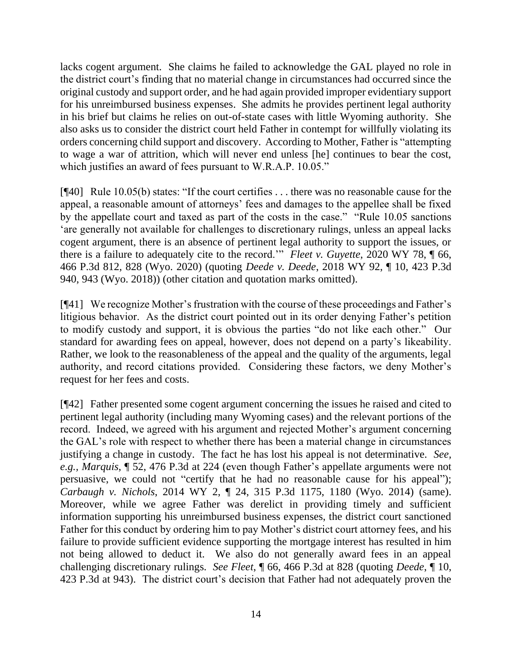lacks cogent argument. She claims he failed to acknowledge the GAL played no role in the district court's finding that no material change in circumstances had occurred since the original custody and support order, and he had again provided improper evidentiary support for his unreimbursed business expenses. She admits he provides pertinent legal authority in his brief but claims he relies on out-of-state cases with little Wyoming authority. She also asks us to consider the district court held Father in contempt for willfully violating its orders concerning child support and discovery. According to Mother, Father is "attempting to wage a war of attrition, which will never end unless [he] continues to bear the cost, which justifies an award of fees pursuant to W.R.A.P. 10.05."

[¶40] Rule 10.05(b) states: "If the court certifies . . . there was no reasonable cause for the appeal, a reasonable amount of attorneys' fees and damages to the appellee shall be fixed by the appellate court and taxed as part of the costs in the case." "Rule 10.05 sanctions 'are generally not available for challenges to discretionary rulings, unless an appeal lacks cogent argument, there is an absence of pertinent legal authority to support the issues, or there is a failure to adequately cite to the record.'" *Fleet v. Guyette*, 2020 WY 78, ¶ 66, 466 P.3d 812, 828 (Wyo. 2020) (quoting *Deede v. Deede*, 2018 WY 92, ¶ 10, 423 P.3d 940, 943 (Wyo. 2018)) (other citation and quotation marks omitted).

[¶41] We recognize Mother's frustration with the course of these proceedings and Father's litigious behavior. As the district court pointed out in its order denying Father's petition to modify custody and support, it is obvious the parties "do not like each other." Our standard for awarding fees on appeal, however, does not depend on a party's likeability. Rather, we look to the reasonableness of the appeal and the quality of the arguments, legal authority, and record citations provided. Considering these factors, we deny Mother's request for her fees and costs.

[¶42] Father presented some cogent argument concerning the issues he raised and cited to pertinent legal authority (including many Wyoming cases) and the relevant portions of the record. Indeed, we agreed with his argument and rejected Mother's argument concerning the GAL's role with respect to whether there has been a material change in circumstances justifying a change in custody. The fact he has lost his appeal is not determinative. *See, e.g., Marquis*, ¶ 52, 476 P.3d at 224 (even though Father's appellate arguments were not persuasive, we could not "certify that he had no reasonable cause for his appeal"); *Carbaugh v. Nichols*, 2014 WY 2, ¶ 24, 315 P.3d 1175, 1180 (Wyo. 2014) (same). Moreover, while we agree Father was derelict in providing timely and sufficient information supporting his unreimbursed business expenses, the district court sanctioned Father for this conduct by ordering him to pay Mother's district court attorney fees, and his failure to provide sufficient evidence supporting the mortgage interest has resulted in him not being allowed to deduct it. We also do not generally award fees in an appeal challenging discretionary rulings. *See Fleet*, ¶ 66, 466 P.3d at 828 (quoting *Deede*, ¶ 10, 423 P.3d at 943). The district court's decision that Father had not adequately proven the